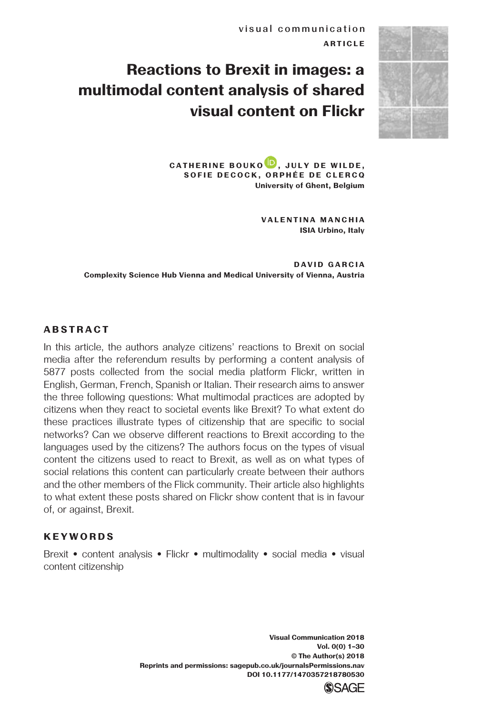visual communication A rtic l e





 $CATERINE BOWKO$ , JULY DE WILDE, SOFIE DECOCK, ORPHÉE DE CLERCQ University of Ghent, Belgium

> **VALENTINA MANCHIA** ISIA Urbino, Italy

DAVID GARCIA Complexity Science Hub Vienna and Medical University of Vienna, Austria

### **ABSTRACT**

In this article, the authors analyze citizens' reactions to Brexit on social media after the referendum results by performing a content analysis of 5877 posts collected from the social media platform Flickr, written in English, German, French, Spanish or Italian. Their research aims to answer the three following questions: What multimodal practices are adopted by citizens when they react to societal events like Brexit? To what extent do these practices illustrate types of citizenship that are specific to social networks? Can we observe different reactions to Brexit according to the languages used by the citizens? The authors focus on the types of visual content the citizens used to react to Brexit, as well as on what types of social relations this content can particularly create between their authors and the other members of the Flick community. Their article also highlights to what extent these posts shared on Flickr show content that is in favour of, or against, Brexit.

### **KEYWORDS**

Brexit • content analysis • Flickr • multimodality • social media • visual content citizenship

> DOI 10.1177/1470357218780530 Visual Communication 2018 Vol. 0(0) 1–30 © The Author(s) 2018 Reprints and permissions: [sagepub.co.uk/journalsPermissions.nav](https://uk.sagepub.com/en-gb/journals-permissions)

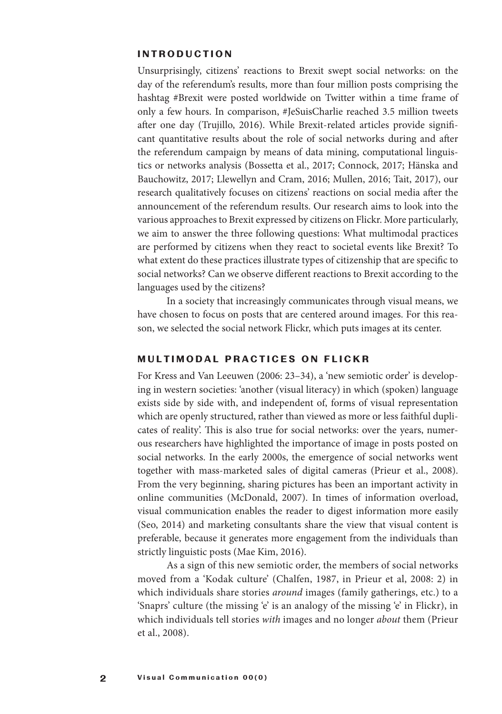### I n trod u ctio n

Unsurprisingly, citizens' reactions to Brexit swept social networks: on the day of the referendum's results, more than four million posts comprising the hashtag #Brexit were posted worldwide on Twitter within a time frame of only a few hours. In comparison, #JeSuisCharlie reached 3.5 million tweets after one day (Trujillo, 2016). While Brexit-related articles provide significant quantitative results about the role of social networks during and after the referendum campaign by means of data mining, computational linguistics or networks analysis (Bossetta et al., 2017; Connock, 2017; Hänska and Bauchowitz, 2017; Llewellyn and Cram, 2016; Mullen, 2016; Tait, 2017), our research qualitatively focuses on citizens' reactions on social media after the announcement of the referendum results. Our research aims to look into the various approaches to Brexit expressed by citizens on Flickr. More particularly, we aim to answer the three following questions: What multimodal practices are performed by citizens when they react to societal events like Brexit? To what extent do these practices illustrate types of citizenship that are specific to social networks? Can we observe different reactions to Brexit according to the languages used by the citizens?

In a society that increasingly communicates through visual means, we have chosen to focus on posts that are centered around images. For this reason, we selected the social network Flickr, which puts images at its center.

### **MULTIMODAL PRACTICES ON FLICKR**

For Kress and Van Leeuwen (2006: 23–34), a 'new semiotic order' is developing in western societies: 'another (visual literacy) in which (spoken) language exists side by side with, and independent of, forms of visual representation which are openly structured, rather than viewed as more or less faithful duplicates of reality'. This is also true for social networks: over the years, numerous researchers have highlighted the importance of image in posts posted on social networks. In the early 2000s, the emergence of social networks went together with mass-marketed sales of digital cameras (Prieur et al., 2008). From the very beginning, sharing pictures has been an important activity in online communities (McDonald, 2007). In times of information overload, visual communication enables the reader to digest information more easily (Seo, 2014) and marketing consultants share the view that visual content is preferable, because it generates more engagement from the individuals than strictly linguistic posts (Mae Kim, 2016).

As a sign of this new semiotic order, the members of social networks moved from a 'Kodak culture' (Chalfen, 1987, in Prieur et al, 2008: 2) in which individuals share stories *around* images (family gatherings, etc.) to a 'Snaprs' culture (the missing 'e' is an analogy of the missing 'e' in Flickr), in which individuals tell stories *with* images and no longer *about* them (Prieur et al., 2008).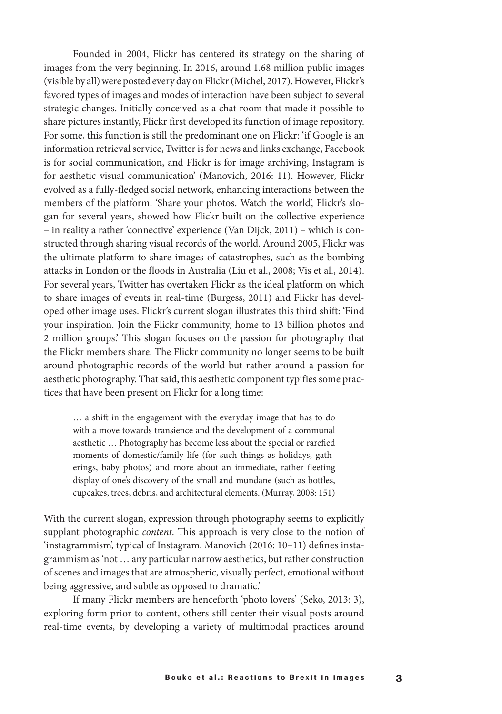Founded in 2004, Flickr has centered its strategy on the sharing of images from the very beginning. In 2016, around 1.68 million public images (visible by all) were posted every day on Flickr (Michel, 2017). However, Flickr's favored types of images and modes of interaction have been subject to several strategic changes. Initially conceived as a chat room that made it possible to share pictures instantly, Flickr first developed its function of image repository. For some, this function is still the predominant one on Flickr: 'if Google is an information retrieval service, Twitter is for news and links exchange, Facebook is for social communication, and Flickr is for image archiving, Instagram is for aesthetic visual communication' (Manovich, 2016: 11). However, Flickr evolved as a fully-fledged social network, enhancing interactions between the members of the platform. 'Share your photos. Watch the world', Flickr's slogan for several years, showed how Flickr built on the collective experience – in reality a rather 'connective' experience (Van Dijck, 2011) – which is constructed through sharing visual records of the world. Around 2005, Flickr was the ultimate platform to share images of catastrophes, such as the bombing attacks in London or the floods in Australia (Liu et al., 2008; Vis et al., 2014). For several years, Twitter has overtaken Flickr as the ideal platform on which to share images of events in real-time (Burgess, 2011) and Flickr has developed other image uses. Flickr's current slogan illustrates this third shift: 'Find your inspiration. Join the Flickr community, home to 13 billion photos and 2 million groups.' This slogan focuses on the passion for photography that the Flickr members share. The Flickr community no longer seems to be built around photographic records of the world but rather around a passion for aesthetic photography. That said, this aesthetic component typifies some practices that have been present on Flickr for a long time:

… a shift in the engagement with the everyday image that has to do with a move towards transience and the development of a communal aesthetic … Photography has become less about the special or rarefied moments of domestic/family life (for such things as holidays, gatherings, baby photos) and more about an immediate, rather fleeting display of one's discovery of the small and mundane (such as bottles, cupcakes, trees, debris, and architectural elements. (Murray, 2008: 151)

With the current slogan, expression through photography seems to explicitly supplant photographic *content*. This approach is very close to the notion of 'instagrammism', typical of Instagram. Manovich (2016: 10–11) defines instagrammism as 'not … any particular narrow aesthetics, but rather construction of scenes and images that are atmospheric, visually perfect, emotional without being aggressive, and subtle as opposed to dramatic.'

If many Flickr members are henceforth 'photo lovers' (Seko, 2013: 3), exploring form prior to content, others still center their visual posts around real-time events, by developing a variety of multimodal practices around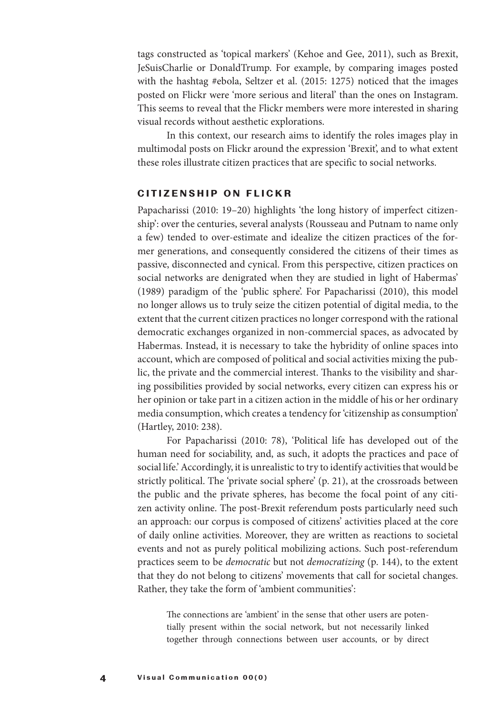tags constructed as 'topical markers' (Kehoe and Gee, 2011), such as Brexit, JeSuisCharlie or DonaldTrump. For example, by comparing images posted with the hashtag #ebola, Seltzer et al. (2015: 1275) noticed that the images posted on Flickr were 'more serious and literal' than the ones on Instagram. This seems to reveal that the Flickr members were more interested in sharing visual records without aesthetic explorations.

In this context, our research aims to identify the roles images play in multimodal posts on Flickr around the expression 'Brexit', and to what extent these roles illustrate citizen practices that are specific to social networks.

### CITIZENSHIP ON FLICKR

Papacharissi (2010: 19–20) highlights 'the long history of imperfect citizenship': over the centuries, several analysts (Rousseau and Putnam to name only a few) tended to over-estimate and idealize the citizen practices of the former generations, and consequently considered the citizens of their times as passive, disconnected and cynical. From this perspective, citizen practices on social networks are denigrated when they are studied in light of Habermas' (1989) paradigm of the 'public sphere'. For Papacharissi (2010), this model no longer allows us to truly seize the citizen potential of digital media, to the extent that the current citizen practices no longer correspond with the rational democratic exchanges organized in non-commercial spaces, as advocated by Habermas. Instead, it is necessary to take the hybridity of online spaces into account, which are composed of political and social activities mixing the public, the private and the commercial interest. Thanks to the visibility and sharing possibilities provided by social networks, every citizen can express his or her opinion or take part in a citizen action in the middle of his or her ordinary media consumption, which creates a tendency for 'citizenship as consumption' (Hartley, 2010: 238).

For Papacharissi (2010: 78), 'Political life has developed out of the human need for sociability, and, as such, it adopts the practices and pace of social life.' Accordingly, it is unrealistic to try to identify activities that would be strictly political. The 'private social sphere' (p. 21), at the crossroads between the public and the private spheres, has become the focal point of any citizen activity online. The post-Brexit referendum posts particularly need such an approach: our corpus is composed of citizens' activities placed at the core of daily online activities. Moreover, they are written as reactions to societal events and not as purely political mobilizing actions. Such post-referendum practices seem to be *democratic* but not *democratizing* (p. 144), to the extent that they do not belong to citizens' movements that call for societal changes. Rather, they take the form of 'ambient communities':

The connections are 'ambient' in the sense that other users are potentially present within the social network, but not necessarily linked together through connections between user accounts, or by direct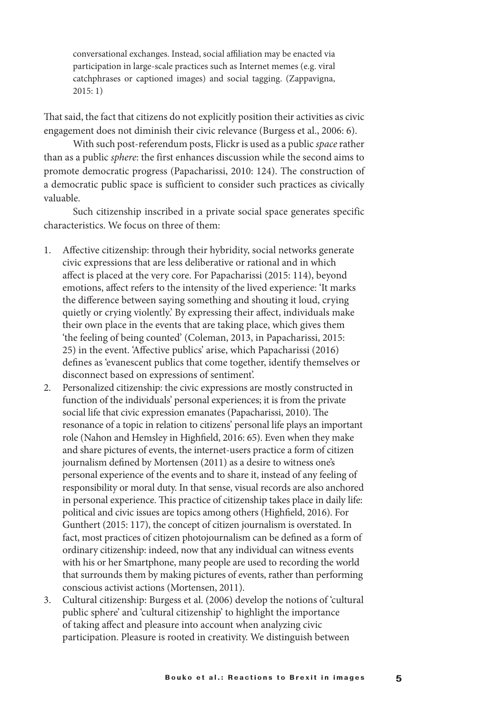conversational exchanges. Instead, social affiliation may be enacted via participation in large-scale practices such as Internet memes (e.g. viral catchphrases or captioned images) and social tagging. (Zappavigna, 2015: 1)

That said, the fact that citizens do not explicitly position their activities as civic engagement does not diminish their civic relevance (Burgess et al., 2006: 6).

With such post-referendum posts, Flickr is used as a public *space* rather than as a public *sphere*: the first enhances discussion while the second aims to promote democratic progress (Papacharissi, 2010: 124). The construction of a democratic public space is sufficient to consider such practices as civically valuable.

Such citizenship inscribed in a private social space generates specific characteristics. We focus on three of them:

- 1. Affective citizenship: through their hybridity, social networks generate civic expressions that are less deliberative or rational and in which affect is placed at the very core. For Papacharissi (2015: 114), beyond emotions, affect refers to the intensity of the lived experience: 'It marks the difference between saying something and shouting it loud, crying quietly or crying violently.' By expressing their affect, individuals make their own place in the events that are taking place, which gives them 'the feeling of being counted' (Coleman, 2013, in Papacharissi, 2015: 25) in the event. 'Affective publics' arise, which Papacharissi (2016) defines as 'evanescent publics that come together, identify themselves or disconnect based on expressions of sentiment'.
- 2. Personalized citizenship: the civic expressions are mostly constructed in function of the individuals' personal experiences; it is from the private social life that civic expression emanates (Papacharissi, 2010). The resonance of a topic in relation to citizens' personal life plays an important role (Nahon and Hemsley in Highfield, 2016: 65). Even when they make and share pictures of events, the internet-users practice a form of citizen journalism defined by Mortensen (2011) as a desire to witness one's personal experience of the events and to share it, instead of any feeling of responsibility or moral duty. In that sense, visual records are also anchored in personal experience. This practice of citizenship takes place in daily life: political and civic issues are topics among others (Highfield, 2016). For Gunthert (2015: 117), the concept of citizen journalism is overstated. In fact, most practices of citizen photojournalism can be defined as a form of ordinary citizenship: indeed, now that any individual can witness events with his or her Smartphone, many people are used to recording the world that surrounds them by making pictures of events, rather than performing conscious activist actions (Mortensen, 2011).
- 3. Cultural citizenship: Burgess et al. (2006) develop the notions of 'cultural public sphere' and 'cultural citizenship' to highlight the importance of taking affect and pleasure into account when analyzing civic participation. Pleasure is rooted in creativity. We distinguish between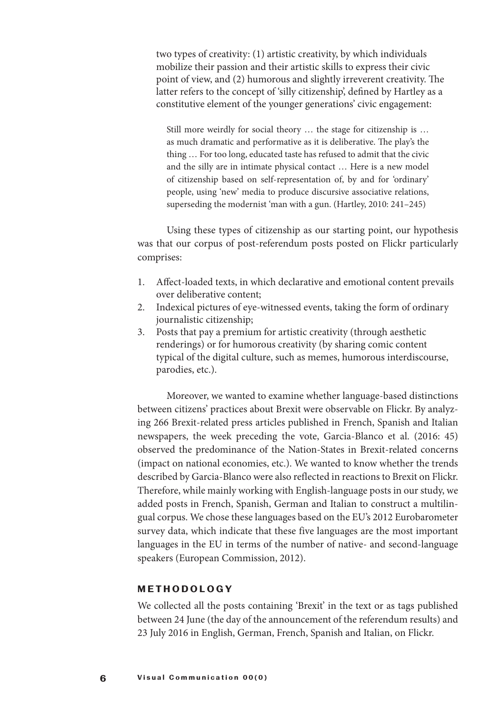two types of creativity: (1) artistic creativity, by which individuals mobilize their passion and their artistic skills to express their civic point of view, and (2) humorous and slightly irreverent creativity. The latter refers to the concept of 'silly citizenship', defined by Hartley as a constitutive element of the younger generations' civic engagement:

Still more weirdly for social theory … the stage for citizenship is … as much dramatic and performative as it is deliberative. The play's the thing … For too long, educated taste has refused to admit that the civic and the silly are in intimate physical contact … Here is a new model of citizenship based on self-representation of, by and for 'ordinary' people, using 'new' media to produce discursive associative relations, superseding the modernist 'man with a gun. (Hartley, 2010: 241–245)

Using these types of citizenship as our starting point, our hypothesis was that our corpus of post-referendum posts posted on Flickr particularly comprises:

- 1. Affect-loaded texts, in which declarative and emotional content prevails over deliberative content;
- 2. Indexical pictures of eye-witnessed events, taking the form of ordinary journalistic citizenship;
- 3. Posts that pay a premium for artistic creativity (through aesthetic renderings) or for humorous creativity (by sharing comic content typical of the digital culture, such as memes, humorous interdiscourse, parodies, etc.).

Moreover, we wanted to examine whether language-based distinctions between citizens' practices about Brexit were observable on Flickr. By analyzing 266 Brexit-related press articles published in French, Spanish and Italian newspapers, the week preceding the vote, Garcia-Blanco et al. (2016: 45) observed the predominance of the Nation-States in Brexit-related concerns (impact on national economies, etc.). We wanted to know whether the trends described by Garcia-Blanco were also reflected in reactions to Brexit on Flickr. Therefore, while mainly working with English-language posts in our study, we added posts in French, Spanish, German and Italian to construct a multilingual corpus. We chose these languages based on the EU's 2012 Eurobarometer survey data, which indicate that these five languages are the most important languages in the EU in terms of the number of native- and second-language speakers (European Commission, 2012).

### METHODOLOGY

We collected all the posts containing 'Brexit' in the text or as tags published between 24 June (the day of the announcement of the referendum results) and 23 July 2016 in English, German, French, Spanish and Italian, on Flickr.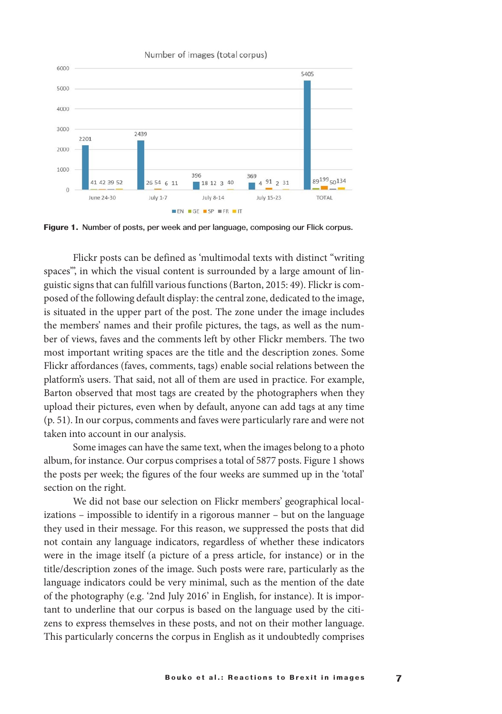

Figure 1. Number of posts, per week and per language, composing our Flick corpus.

Flickr posts can be defined as 'multimodal texts with distinct "writing spaces"', in which the visual content is surrounded by a large amount of linguistic signs that can fulfill various functions (Barton, 2015: 49). Flickr is composed of the following default display: the central zone, dedicated to the image, is situated in the upper part of the post. The zone under the image includes the members' names and their profile pictures, the tags, as well as the number of views, faves and the comments left by other Flickr members. The two most important writing spaces are the title and the description zones. Some Flickr affordances (faves, comments, tags) enable social relations between the platform's users. That said, not all of them are used in practice. For example, Barton observed that most tags are created by the photographers when they upload their pictures, even when by default, anyone can add tags at any time (p. 51). In our corpus, comments and faves were particularly rare and were not taken into account in our analysis.

Some images can have the same text, when the images belong to a photo album, for instance. Our corpus comprises a total of 5877 posts. Figure 1 shows the posts per week; the figures of the four weeks are summed up in the 'total' section on the right.

We did not base our selection on Flickr members' geographical localizations – impossible to identify in a rigorous manner – but on the language they used in their message. For this reason, we suppressed the posts that did not contain any language indicators, regardless of whether these indicators were in the image itself (a picture of a press article, for instance) or in the title/description zones of the image. Such posts were rare, particularly as the language indicators could be very minimal, such as the mention of the date of the photography (e.g. '2nd July 2016' in English, for instance). It is important to underline that our corpus is based on the language used by the citizens to express themselves in these posts, and not on their mother language. This particularly concerns the corpus in English as it undoubtedly comprises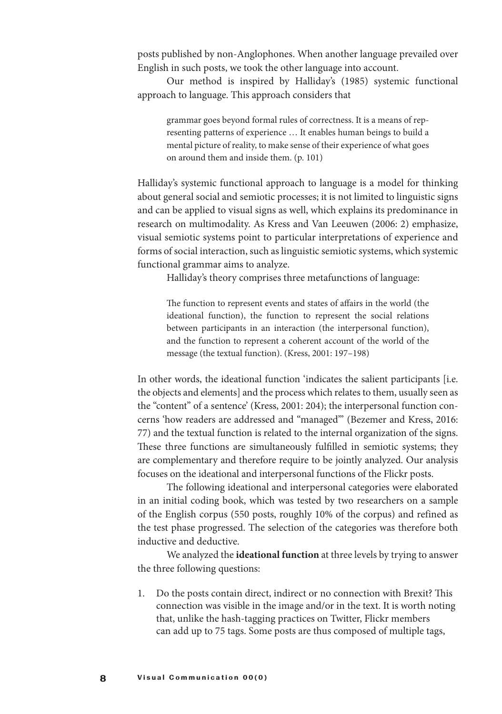posts published by non-Anglophones. When another language prevailed over English in such posts, we took the other language into account.

Our method is inspired by Halliday's (1985) systemic functional approach to language. This approach considers that

grammar goes beyond formal rules of correctness. It is a means of representing patterns of experience … It enables human beings to build a mental picture of reality, to make sense of their experience of what goes on around them and inside them. (p. 101)

Halliday's systemic functional approach to language is a model for thinking about general social and semiotic processes; it is not limited to linguistic signs and can be applied to visual signs as well, which explains its predominance in research on multimodality. As Kress and Van Leeuwen (2006: 2) emphasize, visual semiotic systems point to particular interpretations of experience and forms of social interaction, such as linguistic semiotic systems, which systemic functional grammar aims to analyze.

Halliday's theory comprises three metafunctions of language:

The function to represent events and states of affairs in the world (the ideational function), the function to represent the social relations between participants in an interaction (the interpersonal function), and the function to represent a coherent account of the world of the message (the textual function). (Kress, 2001: 197–198)

In other words, the ideational function 'indicates the salient participants [i.e. the objects and elements] and the process which relates to them, usually seen as the "content" of a sentence' (Kress, 2001: 204); the interpersonal function concerns 'how readers are addressed and "managed"' (Bezemer and Kress, 2016: 77) and the textual function is related to the internal organization of the signs. These three functions are simultaneously fulfilled in semiotic systems; they are complementary and therefore require to be jointly analyzed. Our analysis focuses on the ideational and interpersonal functions of the Flickr posts.

The following ideational and interpersonal categories were elaborated in an initial coding book, which was tested by two researchers on a sample of the English corpus (550 posts, roughly 10% of the corpus) and refined as the test phase progressed. The selection of the categories was therefore both inductive and deductive.

We analyzed the **ideational function** at three levels by trying to answer the three following questions:

1. Do the posts contain direct, indirect or no connection with Brexit? This connection was visible in the image and/or in the text. It is worth noting that, unlike the hash-tagging practices on Twitter, Flickr members can add up to 75 tags. Some posts are thus composed of multiple tags,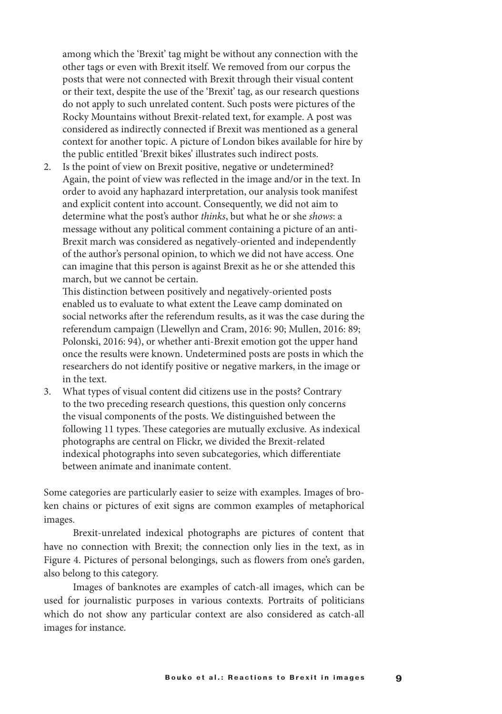among which the 'Brexit' tag might be without any connection with the other tags or even with Brexit itself. We removed from our corpus the posts that were not connected with Brexit through their visual content or their text, despite the use of the 'Brexit' tag, as our research questions do not apply to such unrelated content. Such posts were pictures of the Rocky Mountains without Brexit-related text, for example. A post was considered as indirectly connected if Brexit was mentioned as a general context for another topic. A picture of London bikes available for hire by the public entitled 'Brexit bikes' illustrates such indirect posts.

2. Is the point of view on Brexit positive, negative or undetermined? Again, the point of view was reflected in the image and/or in the text. In order to avoid any haphazard interpretation, our analysis took manifest and explicit content into account. Consequently, we did not aim to determine what the post's author *thinks*, but what he or she *shows*: a message without any political comment containing a picture of an anti-Brexit march was considered as negatively-oriented and independently of the author's personal opinion, to which we did not have access. One can imagine that this person is against Brexit as he or she attended this march, but we cannot be certain.

This distinction between positively and negatively-oriented posts enabled us to evaluate to what extent the Leave camp dominated on social networks after the referendum results, as it was the case during the referendum campaign (Llewellyn and Cram, 2016: 90; Mullen, 2016: 89; Polonski, 2016: 94), or whether anti-Brexit emotion got the upper hand once the results were known. Undetermined posts are posts in which the researchers do not identify positive or negative markers, in the image or in the text.

3. What types of visual content did citizens use in the posts? Contrary to the two preceding research questions, this question only concerns the visual components of the posts. We distinguished between the following 11 types. These categories are mutually exclusive. As indexical photographs are central on Flickr, we divided the Brexit-related indexical photographs into seven subcategories, which differentiate between animate and inanimate content.

Some categories are particularly easier to seize with examples. Images of broken chains or pictures of exit signs are common examples of metaphorical images.

Brexit-unrelated indexical photographs are pictures of content that have no connection with Brexit; the connection only lies in the text, as in Figure 4. Pictures of personal belongings, such as flowers from one's garden, also belong to this category.

Images of banknotes are examples of catch-all images, which can be used for journalistic purposes in various contexts. Portraits of politicians which do not show any particular context are also considered as catch-all images for instance.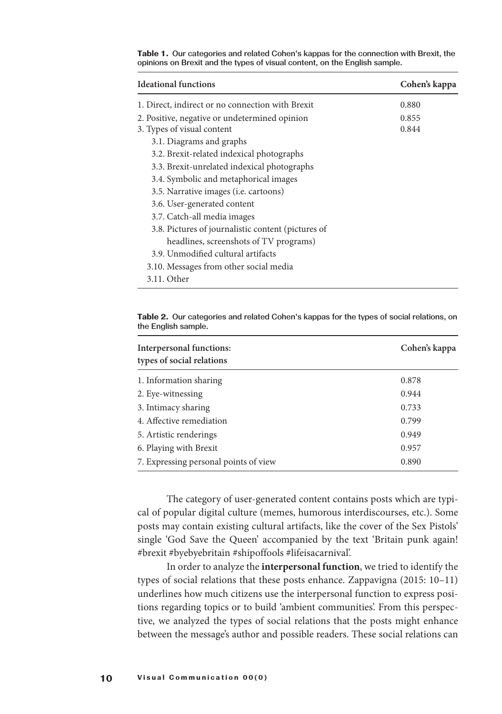| <b>Ideational functions</b>                        | Cohen's kappa |
|----------------------------------------------------|---------------|
| 1. Direct, indirect or no connection with Brexit   | 0.880         |
| 2. Positive, negative or undetermined opinion      | 0.855         |
| 3. Types of visual content                         | 0.844         |
| 3.1. Diagrams and graphs                           |               |
| 3.2. Brexit-related indexical photographs          |               |
| 3.3. Brexit-unrelated indexical photographs        |               |
| 3.4. Symbolic and metaphorical images              |               |
| 3.5. Narrative images (i.e. cartoons)              |               |
| 3.6. User-generated content                        |               |
| 3.7. Catch-all media images                        |               |
| 3.8. Pictures of journalistic content (pictures of |               |
| headlines, screenshots of TV programs)             |               |
| 3.9. Unmodified cultural artifacts                 |               |
| 3.10. Messages from other social media             |               |
| 3.11. Other                                        |               |

Table 1. Our categories and related Cohen's kappas for the connection with Brexit, the opinions on Brexit and the types of visual content, on the English sample.

Table 2. Our categories and related Cohen's kappas for the types of social relations, on the English sample.

| Interpersonal functions:<br>types of social relations | Cohen's kappa |
|-------------------------------------------------------|---------------|
| 1. Information sharing                                | 0.878         |
| 2. Eye-witnessing                                     | 0.944         |
| 3. Intimacy sharing                                   | 0.733         |
| 4. Affective remediation                              | 0.799         |
| 5. Artistic renderings                                | 0.949         |
| 6. Playing with Brexit                                | 0.957         |
| 7. Expressing personal points of view                 | 0.890         |

The category of user-generated content contains posts which are typical of popular digital culture (memes, humorous interdiscourses, etc.). Some posts may contain existing cultural artifacts, like the cover of the Sex Pistols' single 'God Save the Queen' accompanied by the text 'Britain punk again! #brexit #byebyebritain #shipoffools #lifeisacarnival'.

In order to analyze the **interpersonal function**, we tried to identify the types of social relations that these posts enhance. Zappavigna (2015: 10–11) underlines how much citizens use the interpersonal function to express positions regarding topics or to build 'ambient communities'. From this perspective, we analyzed the types of social relations that the posts might enhance between the message's author and possible readers. These social relations can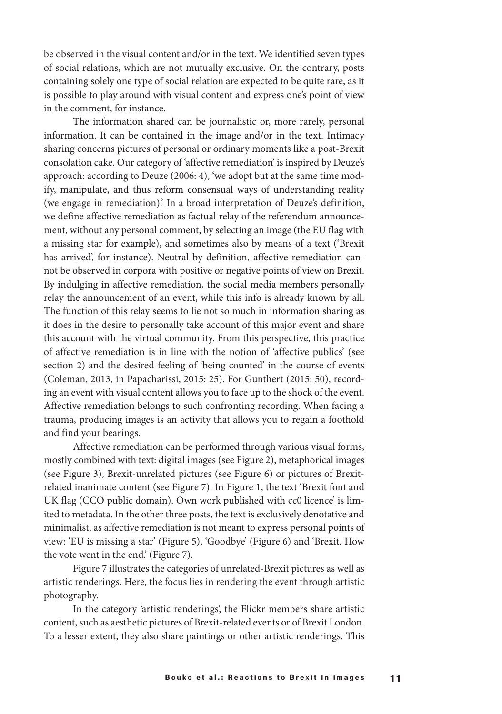be observed in the visual content and/or in the text. We identified seven types of social relations, which are not mutually exclusive. On the contrary, posts containing solely one type of social relation are expected to be quite rare, as it is possible to play around with visual content and express one's point of view in the comment, for instance.

The information shared can be journalistic or, more rarely, personal information. It can be contained in the image and/or in the text. Intimacy sharing concerns pictures of personal or ordinary moments like a post-Brexit consolation cake. Our category of 'affective remediation' is inspired by Deuze's approach: according to Deuze (2006: 4), 'we adopt but at the same time modify, manipulate, and thus reform consensual ways of understanding reality (we engage in remediation).' In a broad interpretation of Deuze's definition, we define affective remediation as factual relay of the referendum announcement, without any personal comment, by selecting an image (the EU flag with a missing star for example), and sometimes also by means of a text ('Brexit has arrived', for instance). Neutral by definition, affective remediation cannot be observed in corpora with positive or negative points of view on Brexit. By indulging in affective remediation, the social media members personally relay the announcement of an event, while this info is already known by all. The function of this relay seems to lie not so much in information sharing as it does in the desire to personally take account of this major event and share this account with the virtual community. From this perspective, this practice of affective remediation is in line with the notion of 'affective publics' (see section 2) and the desired feeling of 'being counted' in the course of events (Coleman, 2013, in Papacharissi, 2015: 25). For Gunthert (2015: 50), recording an event with visual content allows you to face up to the shock of the event. Affective remediation belongs to such confronting recording. When facing a trauma, producing images is an activity that allows you to regain a foothold and find your bearings.

Affective remediation can be performed through various visual forms, mostly combined with text: digital images (see Figure 2), metaphorical images (see Figure 3), Brexit-unrelated pictures (see Figure 6) or pictures of Brexitrelated inanimate content (see Figure 7). In Figure 1, the text 'Brexit font and UK flag (CCO public domain). Own work published with cc0 licence' is limited to metadata. In the other three posts, the text is exclusively denotative and minimalist, as affective remediation is not meant to express personal points of view: 'EU is missing a star' (Figure 5), 'Goodbye' (Figure 6) and 'Brexit. How the vote went in the end.' (Figure 7).

Figure 7 illustrates the categories of unrelated-Brexit pictures as well as artistic renderings. Here, the focus lies in rendering the event through artistic photography.

In the category 'artistic renderings', the Flickr members share artistic content, such as aesthetic pictures of Brexit-related events or of Brexit London. To a lesser extent, they also share paintings or other artistic renderings. This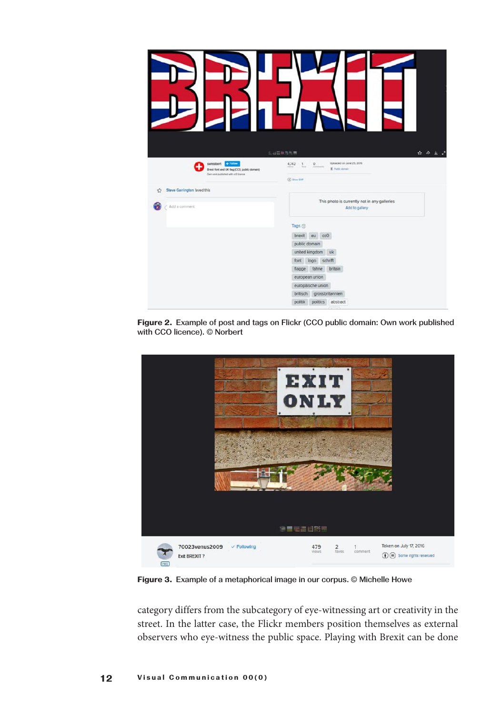

Figure 2. Example of post and tags on Flickr (CCO public domain: Own work published with CCO licence). © Norbert



Figure 3. Example of a metaphorical image in our corpus. © Michelle Howe

category differs from the subcategory of eye-witnessing art or creativity in the street. In the latter case, the Flickr members position themselves as external observers who eye-witness the public space. Playing with Brexit can be done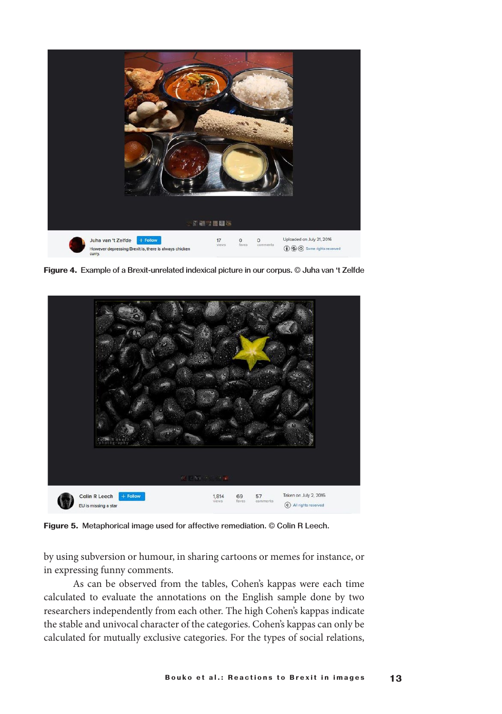

Figure 4. Example of a Brexit-unrelated indexical picture in our corpus. © Juha van 't Zelfde



Figure 5. Metaphorical image used for affective remediation. © Colin R Leech.

by using subversion or humour, in sharing cartoons or memes for instance, or in expressing funny comments.

As can be observed from the tables, Cohen's kappas were each time calculated to evaluate the annotations on the English sample done by two researchers independently from each other. The high Cohen's kappas indicate the stable and univocal character of the categories. Cohen's kappas can only be calculated for mutually exclusive categories. For the types of social relations,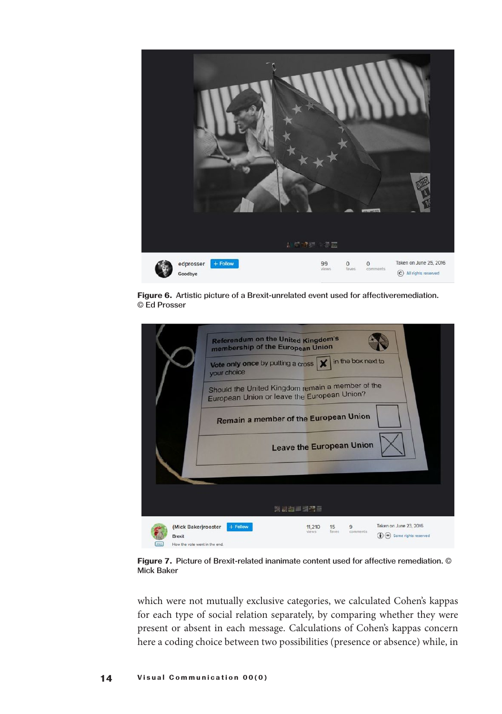

Figure 6. Artistic picture of a Brexit-unrelated event used for affectiveremediation. © Ed Prosser

| in the box next to<br>Vote only once by putting a cross $\mathsf{\times}$<br>your choice<br>Should the United Kingdom remain a member of the<br>European Union or leave the European Union?<br><b>Remain a member of the European Union</b><br><b>Leave the European Union</b> |
|--------------------------------------------------------------------------------------------------------------------------------------------------------------------------------------------------------------------------------------------------------------------------------|
|                                                                                                                                                                                                                                                                                |
|                                                                                                                                                                                                                                                                                |
|                                                                                                                                                                                                                                                                                |
|                                                                                                                                                                                                                                                                                |
|                                                                                                                                                                                                                                                                                |
|                                                                                                                                                                                                                                                                                |
| 医乙基甲基吗啡                                                                                                                                                                                                                                                                        |

Figure 7. Picture of Brexit-related inanimate content used for affective remediation. © Mick Baker

which were not mutually exclusive categories, we calculated Cohen's kappas for each type of social relation separately, by comparing whether they were present or absent in each message. Calculations of Cohen's kappas concern here a coding choice between two possibilities (presence or absence) while, in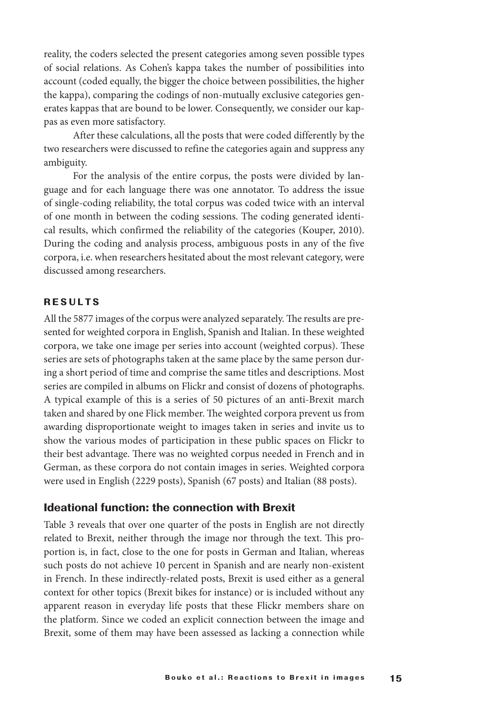reality, the coders selected the present categories among seven possible types of social relations. As Cohen's kappa takes the number of possibilities into account (coded equally, the bigger the choice between possibilities, the higher the kappa), comparing the codings of non-mutually exclusive categories generates kappas that are bound to be lower. Consequently, we consider our kappas as even more satisfactory.

After these calculations, all the posts that were coded differently by the two researchers were discussed to refine the categories again and suppress any ambiguity.

For the analysis of the entire corpus, the posts were divided by language and for each language there was one annotator. To address the issue of single-coding reliability, the total corpus was coded twice with an interval of one month in between the coding sessions. The coding generated identical results, which confirmed the reliability of the categories (Kouper, 2010). During the coding and analysis process, ambiguous posts in any of the five corpora, i.e. when researchers hesitated about the most relevant category, were discussed among researchers.

### **RESULTS**

All the 5877 images of the corpus were analyzed separately. The results are presented for weighted corpora in English, Spanish and Italian. In these weighted corpora, we take one image per series into account (weighted corpus). These series are sets of photographs taken at the same place by the same person during a short period of time and comprise the same titles and descriptions. Most series are compiled in albums on Flickr and consist of dozens of photographs. A typical example of this is a series of 50 pictures of an anti-Brexit march taken and shared by one Flick member. The weighted corpora prevent us from awarding disproportionate weight to images taken in series and invite us to show the various modes of participation in these public spaces on Flickr to their best advantage. There was no weighted corpus needed in French and in German, as these corpora do not contain images in series. Weighted corpora were used in English (2229 posts), Spanish (67 posts) and Italian (88 posts).

## Ideational function: the connection with Brexit

Table 3 reveals that over one quarter of the posts in English are not directly related to Brexit, neither through the image nor through the text. This proportion is, in fact, close to the one for posts in German and Italian, whereas such posts do not achieve 10 percent in Spanish and are nearly non-existent in French. In these indirectly-related posts, Brexit is used either as a general context for other topics (Brexit bikes for instance) or is included without any apparent reason in everyday life posts that these Flickr members share on the platform. Since we coded an explicit connection between the image and Brexit, some of them may have been assessed as lacking a connection while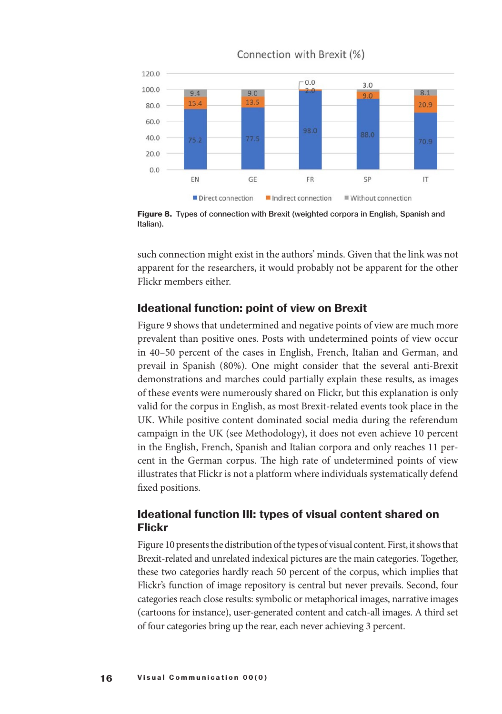

## Connection with Brexit (%)

Figure 8. Types of connection with Brexit (weighted corpora in English, Spanish and Italian).

such connection might exist in the authors' minds. Given that the link was not apparent for the researchers, it would probably not be apparent for the other Flickr members either.

## Ideational function: point of view on Brexit

Figure 9 shows that undetermined and negative points of view are much more prevalent than positive ones. Posts with undetermined points of view occur in 40–50 percent of the cases in English, French, Italian and German, and prevail in Spanish (80%). One might consider that the several anti-Brexit demonstrations and marches could partially explain these results, as images of these events were numerously shared on Flickr, but this explanation is only valid for the corpus in English, as most Brexit-related events took place in the UK. While positive content dominated social media during the referendum campaign in the UK (see Methodology), it does not even achieve 10 percent in the English, French, Spanish and Italian corpora and only reaches 11 percent in the German corpus. The high rate of undetermined points of view illustrates that Flickr is not a platform where individuals systematically defend fixed positions.

# Ideational function III: types of visual content shared on Flickr

Figure 10 presents the distribution of the types of visual content. First, it shows that Brexit-related and unrelated indexical pictures are the main categories. Together, these two categories hardly reach 50 percent of the corpus, which implies that Flickr's function of image repository is central but never prevails. Second, four categories reach close results: symbolic or metaphorical images, narrative images (cartoons for instance), user-generated content and catch-all images. A third set of four categories bring up the rear, each never achieving 3 percent.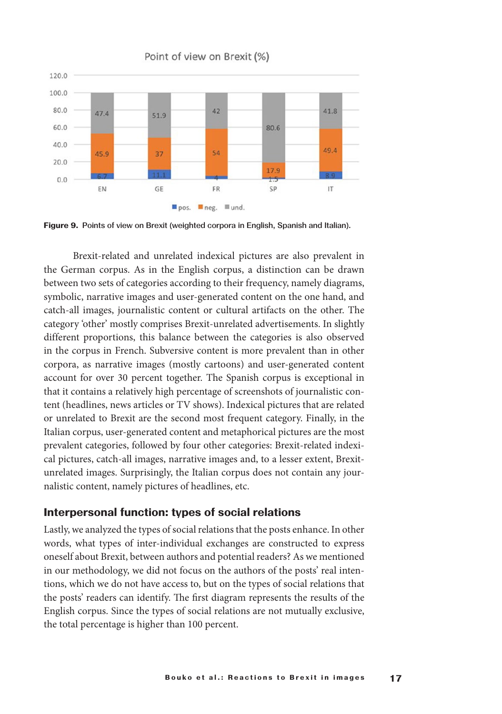

Figure 9. Points of view on Brexit (weighted corpora in English, Spanish and Italian).

Brexit-related and unrelated indexical pictures are also prevalent in the German corpus. As in the English corpus, a distinction can be drawn between two sets of categories according to their frequency, namely diagrams, symbolic, narrative images and user-generated content on the one hand, and catch-all images, journalistic content or cultural artifacts on the other. The category 'other' mostly comprises Brexit-unrelated advertisements. In slightly different proportions, this balance between the categories is also observed in the corpus in French. Subversive content is more prevalent than in other corpora, as narrative images (mostly cartoons) and user-generated content account for over 30 percent together. The Spanish corpus is exceptional in that it contains a relatively high percentage of screenshots of journalistic content (headlines, news articles or TV shows). Indexical pictures that are related or unrelated to Brexit are the second most frequent category. Finally, in the Italian corpus, user-generated content and metaphorical pictures are the most prevalent categories, followed by four other categories: Brexit-related indexical pictures, catch-all images, narrative images and, to a lesser extent, Brexitunrelated images. Surprisingly, the Italian corpus does not contain any journalistic content, namely pictures of headlines, etc.

# Interpersonal function: types of social relations

Lastly, we analyzed the types of social relations that the posts enhance. In other words, what types of inter-individual exchanges are constructed to express oneself about Brexit, between authors and potential readers? As we mentioned in our methodology, we did not focus on the authors of the posts' real intentions, which we do not have access to, but on the types of social relations that the posts' readers can identify. The first diagram represents the results of the English corpus. Since the types of social relations are not mutually exclusive, the total percentage is higher than 100 percent.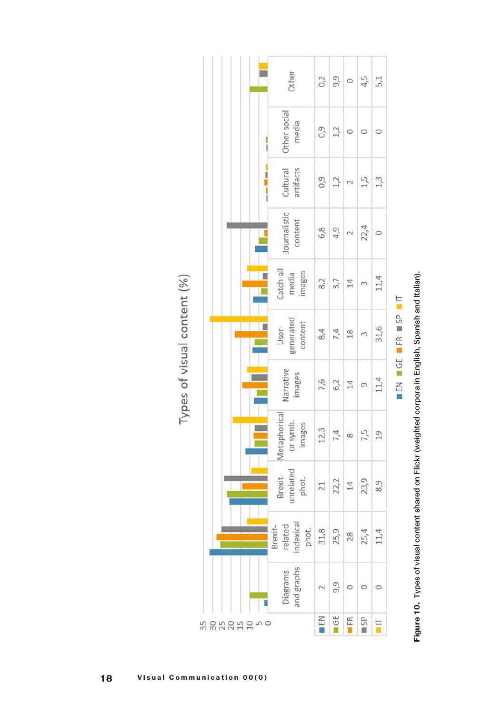| 50                 |                        | $\blacksquare$        | GE   | <b>FR</b> | <b>SP</b> | F       |
|--------------------|------------------------|-----------------------|------|-----------|-----------|---------|
|                    | and graphs<br>Diagrams |                       | 9,9  |           |           | 0       |
| related<br>Brexit- | ndexical               | phot.<br>31,8<br>25,9 |      | 28        | 25,4      | 11,4    |
| Brexit-            | unrelated<br>phot.     | 21                    | 22,2 | 14        | 23,9      | 8,9     |
| Metaphorical       | or symb.<br>Images     | 12,3                  | 7,4  | $\infty$  | 7,5       | 19      |
| Narrative          | images                 | 7,6                   | 6,2  | 14        | G         | $11,4$  |
| User-              | generated<br>content   | 8,4                   | 7,4  | 18        | 3         | 31,6    |
| Catch-all          | images<br>media        | 8,2                   | 3,7  | 14        | 3         | $11,4$  |
| Journalistic       | content                | 6,8                   | 4,9  | 2         | 22,4      | $\circ$ |
| Cultural           | artifacts              | 0,9                   | 1,2  |           | 1,5       | 1,3     |
| Other social       | media                  | 0,9                   | 1,2  | 0         |           | $\circ$ |
|                    | Other                  | 0,2                   | 9,9  | $\circ$   | 4,5       | 5,1     |

Types of visual content (%)

Figure 10. Types of visual content shared on Flickr (weighted corpora in English, Spanish and Italian). Figure 10. Types of visual content shared on Flickr (weighted corpora in English, Spanish and Italian).

EN GE FR SP IT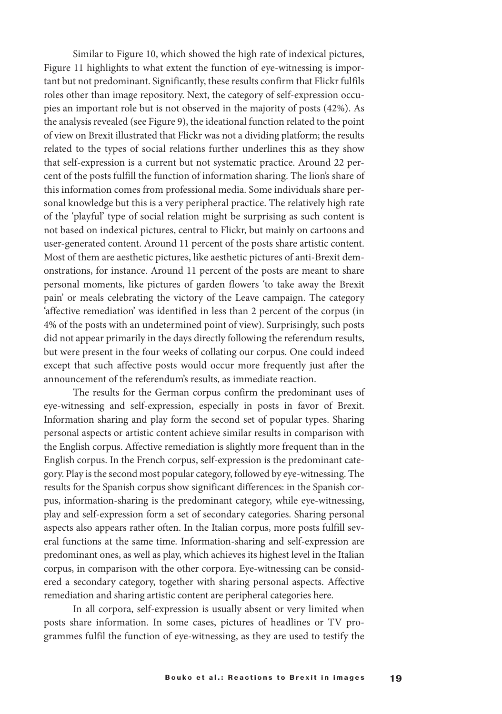Similar to Figure 10, which showed the high rate of indexical pictures, Figure 11 highlights to what extent the function of eye-witnessing is important but not predominant. Significantly, these results confirm that Flickr fulfils roles other than image repository. Next, the category of self-expression occupies an important role but is not observed in the majority of posts (42%). As the analysis revealed (see Figure 9), the ideational function related to the point of view on Brexit illustrated that Flickr was not a dividing platform; the results related to the types of social relations further underlines this as they show that self-expression is a current but not systematic practice. Around 22 percent of the posts fulfill the function of information sharing. The lion's share of this information comes from professional media. Some individuals share personal knowledge but this is a very peripheral practice. The relatively high rate of the 'playful' type of social relation might be surprising as such content is not based on indexical pictures, central to Flickr, but mainly on cartoons and user-generated content. Around 11 percent of the posts share artistic content. Most of them are aesthetic pictures, like aesthetic pictures of anti-Brexit demonstrations, for instance. Around 11 percent of the posts are meant to share personal moments, like pictures of garden flowers 'to take away the Brexit pain' or meals celebrating the victory of the Leave campaign. The category 'affective remediation' was identified in less than 2 percent of the corpus (in 4% of the posts with an undetermined point of view). Surprisingly, such posts did not appear primarily in the days directly following the referendum results, but were present in the four weeks of collating our corpus. One could indeed except that such affective posts would occur more frequently just after the announcement of the referendum's results, as immediate reaction.

The results for the German corpus confirm the predominant uses of eye-witnessing and self-expression, especially in posts in favor of Brexit. Information sharing and play form the second set of popular types. Sharing personal aspects or artistic content achieve similar results in comparison with the English corpus. Affective remediation is slightly more frequent than in the English corpus. In the French corpus, self-expression is the predominant category. Play is the second most popular category, followed by eye-witnessing. The results for the Spanish corpus show significant differences: in the Spanish corpus, information-sharing is the predominant category, while eye-witnessing, play and self-expression form a set of secondary categories. Sharing personal aspects also appears rather often. In the Italian corpus, more posts fulfill several functions at the same time. Information-sharing and self-expression are predominant ones, as well as play, which achieves its highest level in the Italian corpus, in comparison with the other corpora. Eye-witnessing can be considered a secondary category, together with sharing personal aspects. Affective remediation and sharing artistic content are peripheral categories here.

In all corpora, self-expression is usually absent or very limited when posts share information. In some cases, pictures of headlines or TV programmes fulfil the function of eye-witnessing, as they are used to testify the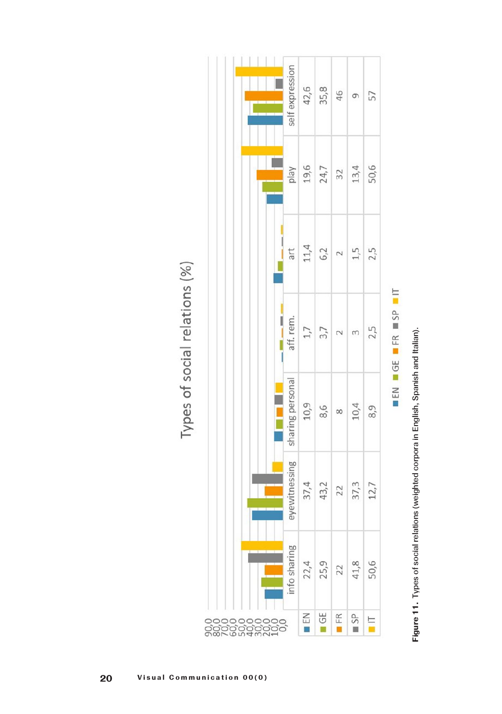

Figure 11. Types of social relations (weighted corpora in English, Spanish and Italian).

Figure 11. Types of social relations (weighted corpora in English, Spanish and Italian).

Types of social relations (%)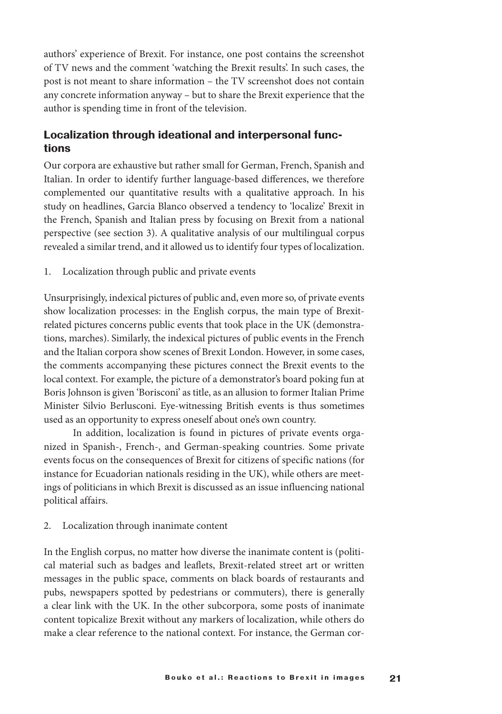authors' experience of Brexit. For instance, one post contains the screenshot of TV news and the comment 'watching the Brexit results'. In such cases, the post is not meant to share information – the TV screenshot does not contain any concrete information anyway – but to share the Brexit experience that the author is spending time in front of the television.

# Localization through ideational and interpersonal functions

Our corpora are exhaustive but rather small for German, French, Spanish and Italian. In order to identify further language-based differences, we therefore complemented our quantitative results with a qualitative approach. In his study on headlines, Garcia Blanco observed a tendency to 'localize' Brexit in the French, Spanish and Italian press by focusing on Brexit from a national perspective (see section 3). A qualitative analysis of our multilingual corpus revealed a similar trend, and it allowed us to identify four types of localization.

1. Localization through public and private events

Unsurprisingly, indexical pictures of public and, even more so, of private events show localization processes: in the English corpus, the main type of Brexitrelated pictures concerns public events that took place in the UK (demonstrations, marches). Similarly, the indexical pictures of public events in the French and the Italian corpora show scenes of Brexit London. However, in some cases, the comments accompanying these pictures connect the Brexit events to the local context. For example, the picture of a demonstrator's board poking fun at Boris Johnson is given 'Borisconi' as title, as an allusion to former Italian Prime Minister Silvio Berlusconi. Eye-witnessing British events is thus sometimes used as an opportunity to express oneself about one's own country.

In addition, localization is found in pictures of private events organized in Spanish-, French-, and German-speaking countries. Some private events focus on the consequences of Brexit for citizens of specific nations (for instance for Ecuadorian nationals residing in the UK), while others are meetings of politicians in which Brexit is discussed as an issue influencing national political affairs.

2. Localization through inanimate content

In the English corpus, no matter how diverse the inanimate content is (political material such as badges and leaflets, Brexit-related street art or written messages in the public space, comments on black boards of restaurants and pubs, newspapers spotted by pedestrians or commuters), there is generally a clear link with the UK. In the other subcorpora, some posts of inanimate content topicalize Brexit without any markers of localization, while others do make a clear reference to the national context. For instance, the German cor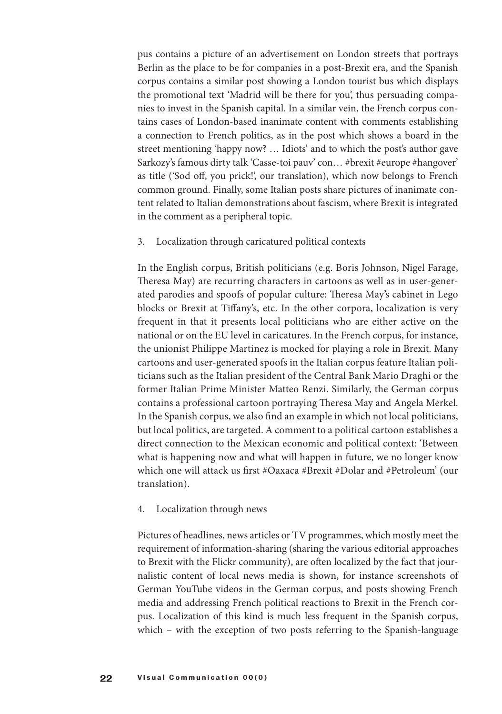pus contains a picture of an advertisement on London streets that portrays Berlin as the place to be for companies in a post-Brexit era, and the Spanish corpus contains a similar post showing a London tourist bus which displays the promotional text 'Madrid will be there for you', thus persuading companies to invest in the Spanish capital. In a similar vein, the French corpus contains cases of London-based inanimate content with comments establishing a connection to French politics, as in the post which shows a board in the street mentioning 'happy now? … Idiots' and to which the post's author gave Sarkozy's famous dirty talk 'Casse-toi pauv' con… #brexit #europe #hangover' as title ('Sod off, you prick!', our translation), which now belongs to French common ground. Finally, some Italian posts share pictures of inanimate content related to Italian demonstrations about fascism, where Brexit is integrated in the comment as a peripheral topic.

#### 3. Localization through caricatured political contexts

In the English corpus, British politicians (e.g. Boris Johnson, Nigel Farage, Theresa May) are recurring characters in cartoons as well as in user-generated parodies and spoofs of popular culture: Theresa May's cabinet in Lego blocks or Brexit at Tiffany's, etc. In the other corpora, localization is very frequent in that it presents local politicians who are either active on the national or on the EU level in caricatures. In the French corpus, for instance, the unionist Philippe Martinez is mocked for playing a role in Brexit. Many cartoons and user-generated spoofs in the Italian corpus feature Italian politicians such as the Italian president of the Central Bank Mario Draghi or the former Italian Prime Minister Matteo Renzi. Similarly, the German corpus contains a professional cartoon portraying Theresa May and Angela Merkel. In the Spanish corpus, we also find an example in which not local politicians, but local politics, are targeted. A comment to a political cartoon establishes a direct connection to the Mexican economic and political context: 'Between what is happening now and what will happen in future, we no longer know which one will attack us first #Oaxaca #Brexit #Dolar and #Petroleum' (our translation).

#### 4. Localization through news

Pictures of headlines, news articles or TV programmes, which mostly meet the requirement of information-sharing (sharing the various editorial approaches to Brexit with the Flickr community), are often localized by the fact that journalistic content of local news media is shown, for instance screenshots of German YouTube videos in the German corpus, and posts showing French media and addressing French political reactions to Brexit in the French corpus. Localization of this kind is much less frequent in the Spanish corpus, which – with the exception of two posts referring to the Spanish-language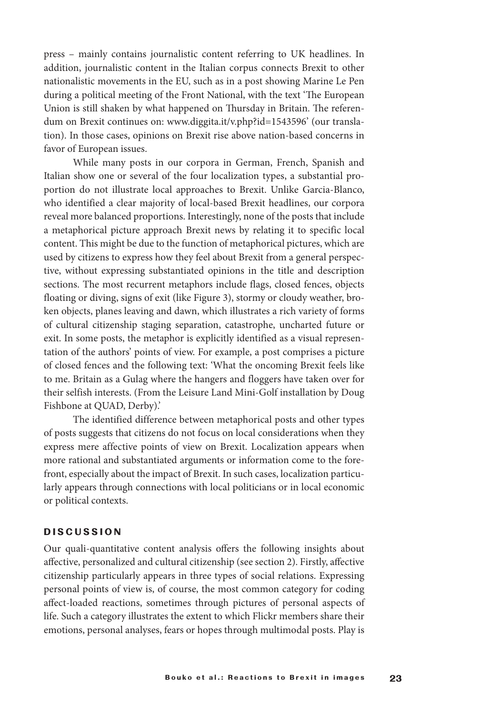press – mainly contains journalistic content referring to UK headlines. In addition, journalistic content in the Italian corpus connects Brexit to other nationalistic movements in the EU, such as in a post showing Marine Le Pen during a political meeting of the Front National, with the text 'The European Union is still shaken by what happened on Thursday in Britain. The referendum on Brexit continues on: <www.diggita.it/v.php?id=1543596>' (our translation). In those cases, opinions on Brexit rise above nation-based concerns in favor of European issues.

While many posts in our corpora in German, French, Spanish and Italian show one or several of the four localization types, a substantial proportion do not illustrate local approaches to Brexit. Unlike Garcia-Blanco, who identified a clear majority of local-based Brexit headlines, our corpora reveal more balanced proportions. Interestingly, none of the posts that include a metaphorical picture approach Brexit news by relating it to specific local content. This might be due to the function of metaphorical pictures, which are used by citizens to express how they feel about Brexit from a general perspective, without expressing substantiated opinions in the title and description sections. The most recurrent metaphors include flags, closed fences, objects floating or diving, signs of exit (like Figure 3), stormy or cloudy weather, broken objects, planes leaving and dawn, which illustrates a rich variety of forms of cultural citizenship staging separation, catastrophe, uncharted future or exit. In some posts, the metaphor is explicitly identified as a visual representation of the authors' points of view. For example, a post comprises a picture of closed fences and the following text: 'What the oncoming Brexit feels like to me. Britain as a Gulag where the hangers and floggers have taken over for their selfish interests. (From the Leisure Land Mini-Golf installation by Doug Fishbone at QUAD, Derby).'

The identified difference between metaphorical posts and other types of posts suggests that citizens do not focus on local considerations when they express mere affective points of view on Brexit. Localization appears when more rational and substantiated arguments or information come to the forefront, especially about the impact of Brexit. In such cases, localization particularly appears through connections with local politicians or in local economic or political contexts.

### **DISCUSSION**

Our quali-quantitative content analysis offers the following insights about affective, personalized and cultural citizenship (see section 2). Firstly, affective citizenship particularly appears in three types of social relations. Expressing personal points of view is, of course, the most common category for coding affect-loaded reactions, sometimes through pictures of personal aspects of life. Such a category illustrates the extent to which Flickr members share their emotions, personal analyses, fears or hopes through multimodal posts. Play is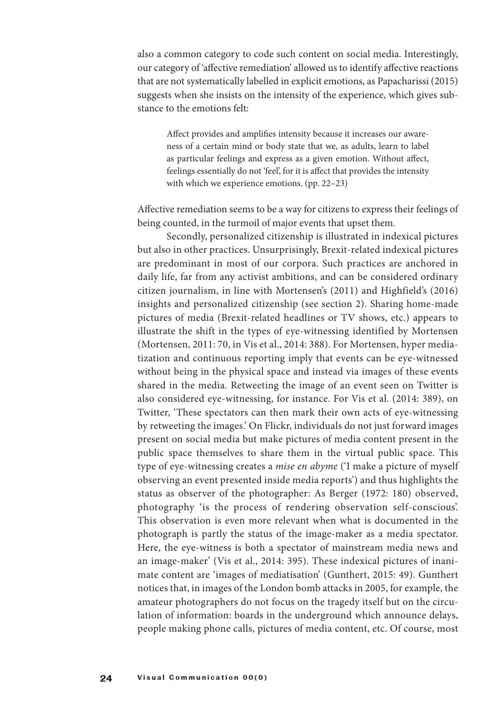also a common category to code such content on social media. Interestingly, our category of 'affective remediation' allowed us to identify affective reactions that are not systematically labelled in explicit emotions, as Papacharissi (2015) suggests when she insists on the intensity of the experience, which gives substance to the emotions felt:

Affect provides and amplifies intensity because it increases our awareness of a certain mind or body state that we, as adults, learn to label as particular feelings and express as a given emotion. Without affect, feelings essentially do not 'feel', for it is affect that provides the intensity with which we experience emotions. (pp. 22–23)

Affective remediation seems to be a way for citizens to express their feelings of being counted, in the turmoil of major events that upset them.

Secondly, personalized citizenship is illustrated in indexical pictures but also in other practices. Unsurprisingly, Brexit-related indexical pictures are predominant in most of our corpora. Such practices are anchored in daily life, far from any activist ambitions, and can be considered ordinary citizen journalism, in line with Mortensen's (2011) and Highfield's (2016) insights and personalized citizenship (see section 2). Sharing home-made pictures of media (Brexit-related headlines or TV shows, etc.) appears to illustrate the shift in the types of eye-witnessing identified by Mortensen (Mortensen, 2011: 70, in Vis et al., 2014: 388). For Mortensen, hyper mediatization and continuous reporting imply that events can be eye-witnessed without being in the physical space and instead via images of these events shared in the media. Retweeting the image of an event seen on Twitter is also considered eye-witnessing, for instance. For Vis et al. (2014: 389), on Twitter, 'These spectators can then mark their own acts of eye-witnessing by retweeting the images.' On Flickr, individuals do not just forward images present on social media but make pictures of media content present in the public space themselves to share them in the virtual public space. This type of eye-witnessing creates a *mise en abyme* ('I make a picture of myself observing an event presented inside media reports') and thus highlights the status as observer of the photographer: As Berger (1972: 180) observed, photography 'is the process of rendering observation self-conscious'. This observation is even more relevant when what is documented in the photograph is partly the status of the image-maker as a media spectator. Here, the eye-witness is both a spectator of mainstream media news and an image-maker' (Vis et al., 2014: 395). These indexical pictures of inanimate content are 'images of mediatisation' (Gunthert, 2015: 49). Gunthert notices that, in images of the London bomb attacks in 2005, for example, the amateur photographers do not focus on the tragedy itself but on the circulation of information: boards in the underground which announce delays, people making phone calls, pictures of media content, etc. Of course, most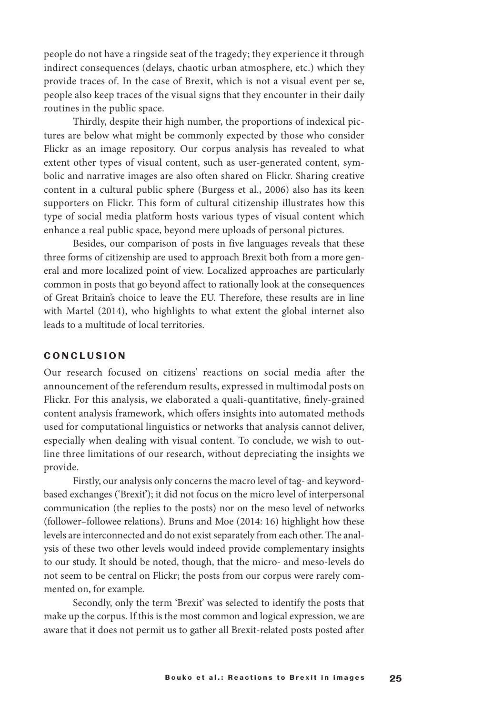people do not have a ringside seat of the tragedy; they experience it through indirect consequences (delays, chaotic urban atmosphere, etc.) which they provide traces of. In the case of Brexit, which is not a visual event per se, people also keep traces of the visual signs that they encounter in their daily routines in the public space.

Thirdly, despite their high number, the proportions of indexical pictures are below what might be commonly expected by those who consider Flickr as an image repository. Our corpus analysis has revealed to what extent other types of visual content, such as user-generated content, symbolic and narrative images are also often shared on Flickr. Sharing creative content in a cultural public sphere (Burgess et al., 2006) also has its keen supporters on Flickr. This form of cultural citizenship illustrates how this type of social media platform hosts various types of visual content which enhance a real public space, beyond mere uploads of personal pictures.

Besides, our comparison of posts in five languages reveals that these three forms of citizenship are used to approach Brexit both from a more general and more localized point of view. Localized approaches are particularly common in posts that go beyond affect to rationally look at the consequences of Great Britain's choice to leave the EU. Therefore, these results are in line with Martel (2014), who highlights to what extent the global internet also leads to a multitude of local territories.

### **CONCLUSION**

Our research focused on citizens' reactions on social media after the announcement of the referendum results, expressed in multimodal posts on Flickr. For this analysis, we elaborated a quali-quantitative, finely-grained content analysis framework, which offers insights into automated methods used for computational linguistics or networks that analysis cannot deliver, especially when dealing with visual content. To conclude, we wish to outline three limitations of our research, without depreciating the insights we provide.

Firstly, our analysis only concerns the macro level of tag- and keywordbased exchanges ('Brexit'); it did not focus on the micro level of interpersonal communication (the replies to the posts) nor on the meso level of networks (follower–followee relations). Bruns and Moe (2014: 16) highlight how these levels are interconnected and do not exist separately from each other. The analysis of these two other levels would indeed provide complementary insights to our study. It should be noted, though, that the micro- and meso-levels do not seem to be central on Flickr; the posts from our corpus were rarely commented on, for example.

Secondly, only the term 'Brexit' was selected to identify the posts that make up the corpus. If this is the most common and logical expression, we are aware that it does not permit us to gather all Brexit-related posts posted after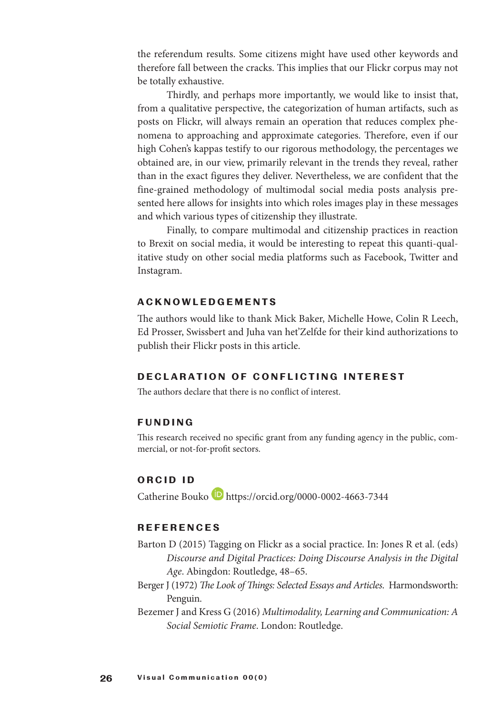the referendum results. Some citizens might have used other keywords and therefore fall between the cracks. This implies that our Flickr corpus may not be totally exhaustive.

Thirdly, and perhaps more importantly, we would like to insist that, from a qualitative perspective, the categorization of human artifacts, such as posts on Flickr, will always remain an operation that reduces complex phenomena to approaching and approximate categories. Therefore, even if our high Cohen's kappas testify to our rigorous methodology, the percentages we obtained are, in our view, primarily relevant in the trends they reveal, rather than in the exact figures they deliver. Nevertheless, we are confident that the fine-grained methodology of multimodal social media posts analysis presented here allows for insights into which roles images play in these messages and which various types of citizenship they illustrate.

Finally, to compare multimodal and citizenship practices in reaction to Brexit on social media, it would be interesting to repeat this quanti-qualitative study on other social media platforms such as Facebook, Twitter and Instagram.

### **A C K N O W L E D G E M E N T S**

The authors would like to thank Mick Baker, Michelle Howe, Colin R Leech, Ed Prosser, Swissbert and Juha van het'Zelfde for their kind authorizations to publish their Flickr posts in this article.

### DECI ARATION OF CONFLICTING INTEREST

The authors declare that there is no conflict of interest.

#### **FUNDING**

This research received no specific grant from any funding agency in the public, commercial, or not-for-profit sectors.

### ORCID i D

Catherine Bouko D <https://orcid.org/0000-0002-4663-7344>

### **REFERENCES**

- Barton D (2015) Tagging on Flickr as a social practice. In: Jones R et al. (eds) *Discourse and Digital Practices: Doing Discourse Analysis in the Digital Age*. Abingdon: Routledge, 48–65.
- Berger J (1972) *The Look of Things: Selected Essays and Articles*. Harmondsworth: Penguin.
- Bezemer J and Kress G (2016) *Multimodality, Learning and Communication: A Social Semiotic Frame*. London: Routledge.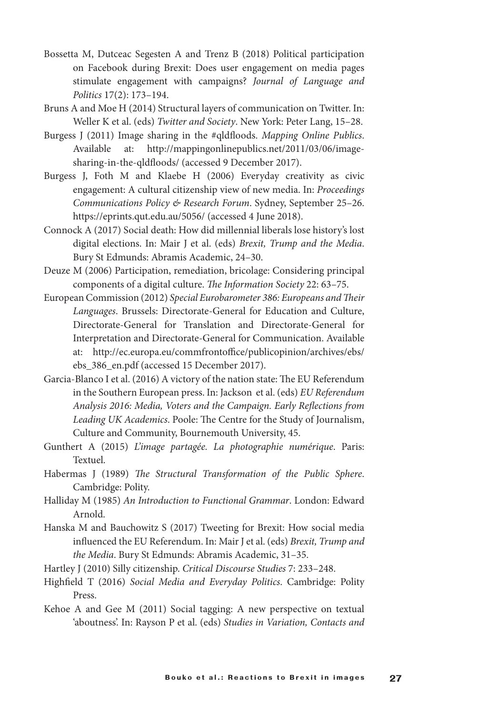- Bossetta M, Dutceac Segesten A and Trenz B (2018) Political participation on Facebook during Brexit: Does user engagement on media pages stimulate engagement with campaigns? *Journal of Language and Politics* 17(2): 173–194.
- Bruns A and Moe H (2014) Structural layers of communication on Twitter. In: Weller K et al. (eds) *Twitter and Society*. New York: Peter Lang, 15–28.
- Burgess J (2011) Image sharing in the #qldfloods. *Mapping Online Publics*. Available at: [http://mappingonlinepublics.net/2011/03/06/image](http://mappingonlinepublics.net/2011/03/06/image-sharing-in-the-qldfloods/)[sharing-in-the-qldfloods/](http://mappingonlinepublics.net/2011/03/06/image-sharing-in-the-qldfloods/) (accessed 9 December 2017).
- Burgess J, Foth M and Klaebe H (2006) Everyday creativity as civic engagement: A cultural citizenship view of new media. In: *Proceedings Communications Policy & Research Forum*. Sydney, September 25–26. <https://eprints.qut.edu.au/5056/>(accessed 4 June 2018).
- Connock A (2017) Social death: How did millennial liberals lose history's lost digital elections. In: Mair J et al. (eds) *Brexit, Trump and the Media*. Bury St Edmunds: Abramis Academic, 24–30.
- Deuze M (2006) Participation, remediation, bricolage: Considering principal components of a digital culture. *The Information Society* 22: 63–75.
- European Commission (2012) *Special Eurobarometer 386: Europeans and Their Languages*. Brussels: Directorate-General for Education and Culture, Directorate-General for Translation and Directorate-General for Interpretation and Directorate-General for Communication. Available at: [http://ec.europa.eu/commfrontoffice/publicopinion/archives/ebs/](http://ec.europa.eu/commfrontoffice/publicopinion/archives/ebs/ebs_386_en.pdf) [ebs\\_386\\_en.pdf](http://ec.europa.eu/commfrontoffice/publicopinion/archives/ebs/ebs_386_en.pdf) (accessed 15 December 2017).
- Garcia-Blanco I et al. (2016) A victory of the nation state: The EU Referendum in the Southern European press. In: Jackson et al. (eds) *EU Referendum Analysis 2016: Media, Voters and the Campaign. Early Reflections from Leading UK Academics*. Poole: The Centre for the Study of Journalism, Culture and Community, Bournemouth University, 45.
- Gunthert A (2015) *L'image partagée. La photographie numérique*. Paris: Textuel.
- Habermas J (1989) *The Structural Transformation of the Public Sphere*. Cambridge: Polity.
- Halliday M (1985) *An Introduction to Functional Grammar*. London: Edward Arnold.
- Hanska M and Bauchowitz S (2017) Tweeting for Brexit: How social media influenced the EU Referendum. In: Mair J et al. (eds) *Brexit, Trump and the Media*. Bury St Edmunds: Abramis Academic, 31–35.
- Hartley J (2010) Silly citizenship. *Critical Discourse Studies* 7: 233–248.
- Highfield T (2016) *Social Media and Everyday Politics*. Cambridge: Polity Press.
- Kehoe A and Gee M (2011) Social tagging: A new perspective on textual 'aboutness'. In: Rayson P et al. (eds) *Studies in Variation, Contacts and*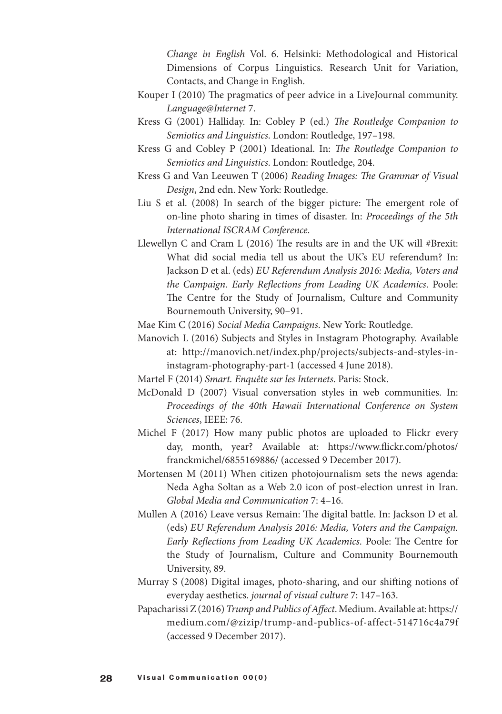*Change in English* Vol. 6. Helsinki: Methodological and Historical Dimensions of Corpus Linguistics. Research Unit for Variation, Contacts, and Change in English.

- Kouper I (2010) The pragmatics of peer advice in a LiveJournal community. *Language@Internet* 7.
- Kress G (2001) Halliday. In: Cobley P (ed.) *The Routledge Companion to Semiotics and Linguistics*. London: Routledge, 197–198.
- Kress G and Cobley P (2001) Ideational. In: *The Routledge Companion to Semiotics and Linguistics*. London: Routledge, 204.
- Kress G and Van Leeuwen T (2006) *Reading Images: The Grammar of Visual Design*, 2nd edn. New York: Routledge.
- Liu S et al. (2008) In search of the bigger picture: The emergent role of on-line photo sharing in times of disaster. In: *Proceedings of the 5th International ISCRAM Conference*.
- Llewellyn C and Cram L (2016) The results are in and the UK will #Brexit: What did social media tell us about the UK's EU referendum? In: Jackson D et al. (eds) *EU Referendum Analysis 2016: Media, Voters and the Campaign. Early Reflections from Leading UK Academics*. Poole: The Centre for the Study of Journalism, Culture and Community Bournemouth University, 90–91.
- Mae Kim C (2016) *Social Media Campaigns*. New York: Routledge.
- Manovich L (2016) Subjects and Styles in Instagram Photography. Available at: [http://manovich.net/index.php/projects/subjects-and-styles-in](http://manovich.net/index.php/projects/subjects-and-styles-in-instagram-photography-part-1)[instagram-photography-part-1](http://manovich.net/index.php/projects/subjects-and-styles-in-instagram-photography-part-1) (accessed 4 June 2018).
- Martel F (2014) *Smart. Enquête sur les Internets*. Paris: Stock.
- McDonald D (2007) Visual conversation styles in web communities. In: *Proceedings of the 40th Hawaii International Conference on System Sciences*, IEEE: 76.
- Michel F (2017) How many public photos are uploaded to Flickr every day, month, year? Available at: [https://www.flickr.com/photos/](https://www.flickr.com/photos/franckmichel/6855169886/) [franckmichel/6855169886/](https://www.flickr.com/photos/franckmichel/6855169886/) (accessed 9 December 2017).
- Mortensen M (2011) When citizen photojournalism sets the news agenda: Neda Agha Soltan as a Web 2.0 icon of post-election unrest in Iran. *Global Media and Communication* 7: 4–16.
- Mullen A (2016) Leave versus Remain: The digital battle. In: Jackson D et al. (eds) *EU Referendum Analysis 2016: Media, Voters and the Campaign. Early Reflections from Leading UK Academics*. Poole: The Centre for the Study of Journalism, Culture and Community Bournemouth University, 89.
- Murray S (2008) Digital images, photo-sharing, and our shifting notions of everyday aesthetics. *journal of visual culture* 7: 147–163.
- Papacharissi Z (2016) *Trump and Publics of Affect*. Medium. Available at: [https://](https://medium.com/) [medium.com/](https://medium.com/)@zizip/trump-and-publics-of-affect-514716c4a79f (accessed 9 December 2017).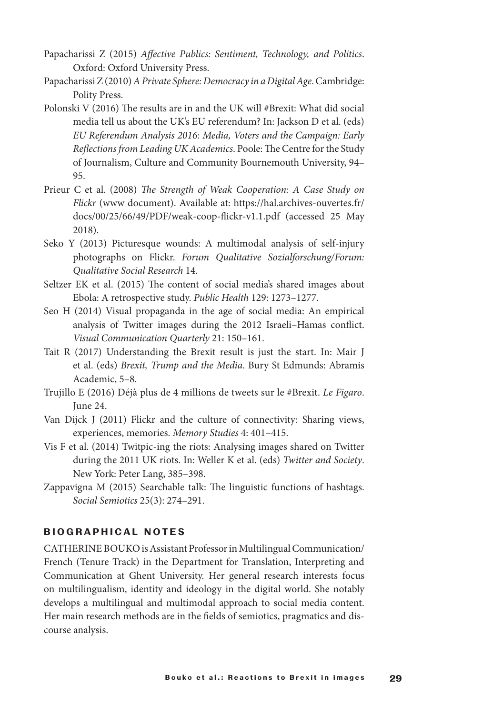- Papacharissi Z (2015) *Affective Publics: Sentiment, Technology, and Politics*. Oxford: Oxford University Press.
- Papacharissi Z (2010) *A Private Sphere: Democracy in a Digital Age*. Cambridge: Polity Press.
- Polonski V (2016) The results are in and the UK will #Brexit: What did social media tell us about the UK's EU referendum? In: Jackson D et al. (eds) *EU Referendum Analysis 2016: Media, Voters and the Campaign: Early Reflections from Leading UK Academics*. Poole: The Centre for the Study of Journalism, Culture and Community Bournemouth University, 94– 95.
- Prieur C et al. (2008) *The Strength of Weak Cooperation: A Case Study on Flickr* ([www document\). Available at:](www document). Available at: ) [https://hal.archives-ouvertes.fr/](https://hal.archives-ouvertes.fr/docs/00/25/66/49/PDF/weak-coop-flickr-v1.1.pdf) [docs/00/25/66/49/PDF/weak-coop-flickr-v1.1.pdf](https://hal.archives-ouvertes.fr/docs/00/25/66/49/PDF/weak-coop-flickr-v1.1.pdf) (accessed 25 May 2018).
- Seko Y (2013) Picturesque wounds: A multimodal analysis of self-injury photographs on Flickr. *Forum Qualitative Sozialforschung/Forum: Qualitative Social Research* 14.
- Seltzer EK et al. (2015) The content of social media's shared images about Ebola: A retrospective study. *Public Health* 129: 1273–1277.
- Seo H (2014) Visual propaganda in the age of social media: An empirical analysis of Twitter images during the 2012 Israeli–Hamas conflict. *Visual Communication Quarterly* 21: 150–161.
- Tait R (2017) Understanding the Brexit result is just the start. In: Mair J et al. (eds) *Brexit, Trump and the Media*. Bury St Edmunds: Abramis Academic, 5–8.
- Trujillo E (2016) Déjà plus de 4 millions de tweets sur le #Brexit. *Le Figaro*. June 24.
- Van Dijck J (2011) Flickr and the culture of connectivity: Sharing views, experiences, memories. *Memory Studies* 4: 401–415.
- Vis F et al. (2014) Twitpic-ing the riots: Analysing images shared on Twitter during the 2011 UK riots. In: Weller K et al. (eds) *Twitter and Society*. New York: Peter Lang, 385–398.
- Zappavigna M (2015) Searchable talk: The linguistic functions of hashtags. *Social Semiotics* 25(3): 274–291.

## **BIOGRAPHICAL NOTES**

CATHERINE BOUKO is Assistant Professor in Multilingual Communication/ French (Tenure Track) in the Department for Translation, Interpreting and Communication at Ghent University. Her general research interests focus on multilingualism, identity and ideology in the digital world. She notably develops a multilingual and multimodal approach to social media content. Her main research methods are in the fields of semiotics, pragmatics and discourse analysis.